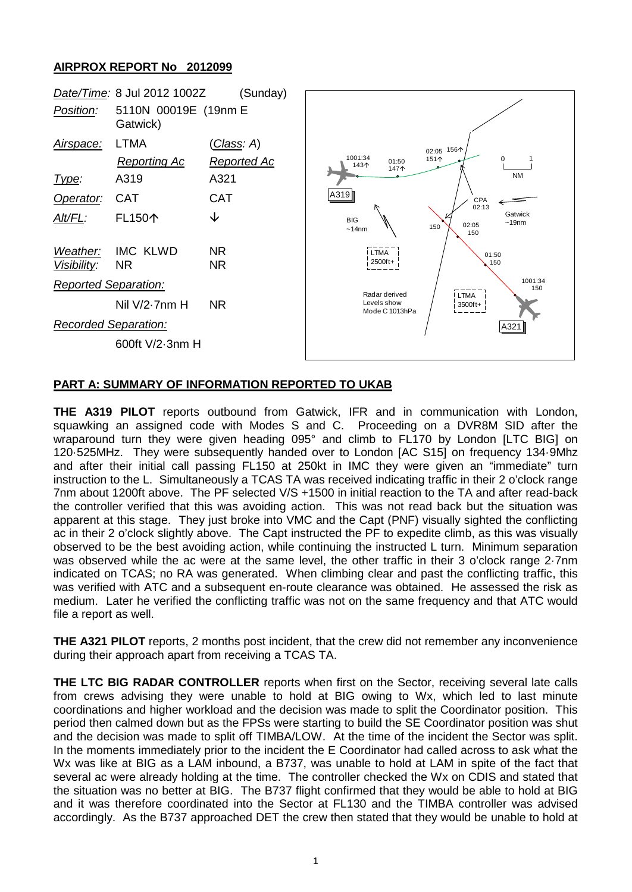## **AIRPROX REPORT No 2012099**



## **PART A: SUMMARY OF INFORMATION REPORTED TO UKAB**

**THE A319 PILOT** reports outbound from Gatwick, IFR and in communication with London, squawking an assigned code with Modes S and C. Proceeding on a DVR8M SID after the wraparound turn they were given heading 095° and climb to FL170 by London [LTC BIG] on 120·525MHz. They were subsequently handed over to London [AC S15] on frequency 134·9Mhz and after their initial call passing FL150 at 250kt in IMC they were given an "immediate" turn instruction to the L. Simultaneously a TCAS TA was received indicating traffic in their 2 o'clock range 7nm about 1200ft above. The PF selected V/S +1500 in initial reaction to the TA and after read-back the controller verified that this was avoiding action. This was not read back but the situation was apparent at this stage. They just broke into VMC and the Capt (PNF) visually sighted the conflicting ac in their 2 o'clock slightly above. The Capt instructed the PF to expedite climb, as this was visually observed to be the best avoiding action, while continuing the instructed L turn. Minimum separation was observed while the ac were at the same level, the other traffic in their 3 o'clock range 2·7nm indicated on TCAS; no RA was generated. When climbing clear and past the conflicting traffic, this was verified with ATC and a subsequent en-route clearance was obtained. He assessed the risk as medium. Later he verified the conflicting traffic was not on the same frequency and that ATC would file a report as well.

**THE A321 PILOT** reports, 2 months post incident, that the crew did not remember any inconvenience during their approach apart from receiving a TCAS TA.

**THE LTC BIG RADAR CONTROLLER** reports when first on the Sector, receiving several late calls from crews advising they were unable to hold at BIG owing to Wx, which led to last minute coordinations and higher workload and the decision was made to split the Coordinator position. This period then calmed down but as the FPSs were starting to build the SE Coordinator position was shut and the decision was made to split off TIMBA/LOW. At the time of the incident the Sector was split. In the moments immediately prior to the incident the E Coordinator had called across to ask what the Wx was like at BIG as a LAM inbound, a B737, was unable to hold at LAM in spite of the fact that several ac were already holding at the time. The controller checked the Wx on CDIS and stated that the situation was no better at BIG. The B737 flight confirmed that they would be able to hold at BIG and it was therefore coordinated into the Sector at FL130 and the TIMBA controller was advised accordingly. As the B737 approached DET the crew then stated that they would be unable to hold at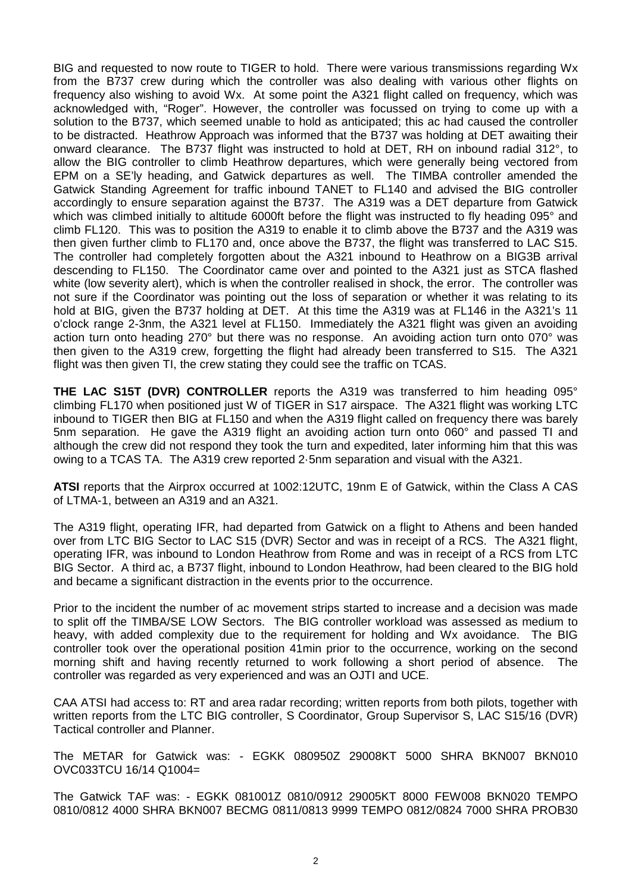BIG and requested to now route to TIGER to hold. There were various transmissions regarding Wx from the B737 crew during which the controller was also dealing with various other flights on frequency also wishing to avoid Wx. At some point the A321 flight called on frequency, which was acknowledged with, "Roger". However, the controller was focussed on trying to come up with a solution to the B737, which seemed unable to hold as anticipated; this ac had caused the controller to be distracted. Heathrow Approach was informed that the B737 was holding at DET awaiting their onward clearance. The B737 flight was instructed to hold at DET, RH on inbound radial 312°, to allow the BIG controller to climb Heathrow departures, which were generally being vectored from EPM on a SE'ly heading, and Gatwick departures as well. The TIMBA controller amended the Gatwick Standing Agreement for traffic inbound TANET to FL140 and advised the BIG controller accordingly to ensure separation against the B737. The A319 was a DET departure from Gatwick which was climbed initially to altitude 6000ft before the flight was instructed to fly heading 095° and climb FL120. This was to position the A319 to enable it to climb above the B737 and the A319 was then given further climb to FL170 and, once above the B737, the flight was transferred to LAC S15. The controller had completely forgotten about the A321 inbound to Heathrow on a BIG3B arrival descending to FL150. The Coordinator came over and pointed to the A321 just as STCA flashed white (low severity alert), which is when the controller realised in shock, the error. The controller was not sure if the Coordinator was pointing out the loss of separation or whether it was relating to its hold at BIG, given the B737 holding at DET. At this time the A319 was at FL146 in the A321's 11 o'clock range 2-3nm, the A321 level at FL150. Immediately the A321 flight was given an avoiding action turn onto heading 270° but there was no response. An avoiding action turn onto 070° was then given to the A319 crew, forgetting the flight had already been transferred to S15. The A321 flight was then given TI, the crew stating they could see the traffic on TCAS.

**THE LAC S15T (DVR) CONTROLLER** reports the A319 was transferred to him heading 095° climbing FL170 when positioned just W of TIGER in S17 airspace. The A321 flight was working LTC inbound to TIGER then BIG at FL150 and when the A319 flight called on frequency there was barely 5nm separation. He gave the A319 flight an avoiding action turn onto 060° and passed TI and although the crew did not respond they took the turn and expedited, later informing him that this was owing to a TCAS TA. The A319 crew reported 2·5nm separation and visual with the A321.

**ATSI** reports that the Airprox occurred at 1002:12UTC, 19nm E of Gatwick, within the Class A CAS of LTMA-1, between an A319 and an A321.

The A319 flight, operating IFR, had departed from Gatwick on a flight to Athens and been handed over from LTC BIG Sector to LAC S15 (DVR) Sector and was in receipt of a RCS. The A321 flight, operating IFR, was inbound to London Heathrow from Rome and was in receipt of a RCS from LTC BIG Sector. A third ac, a B737 flight, inbound to London Heathrow, had been cleared to the BIG hold and became a significant distraction in the events prior to the occurrence.

Prior to the incident the number of ac movement strips started to increase and a decision was made to split off the TIMBA/SE LOW Sectors. The BIG controller workload was assessed as medium to heavy, with added complexity due to the requirement for holding and Wx avoidance. The BIG controller took over the operational position 41min prior to the occurrence, working on the second morning shift and having recently returned to work following a short period of absence. The controller was regarded as very experienced and was an OJTI and UCE.

CAA ATSI had access to: RT and area radar recording; written reports from both pilots, together with written reports from the LTC BIG controller, S Coordinator, Group Supervisor S, LAC S15/16 (DVR) Tactical controller and Planner.

The METAR for Gatwick was: - EGKK 080950Z 29008KT 5000 SHRA BKN007 BKN010 OVC033TCU 16/14 Q1004=

The Gatwick TAF was: - EGKK 081001Z 0810/0912 29005KT 8000 FEW008 BKN020 TEMPO 0810/0812 4000 SHRA BKN007 BECMG 0811/0813 9999 TEMPO 0812/0824 7000 SHRA PROB30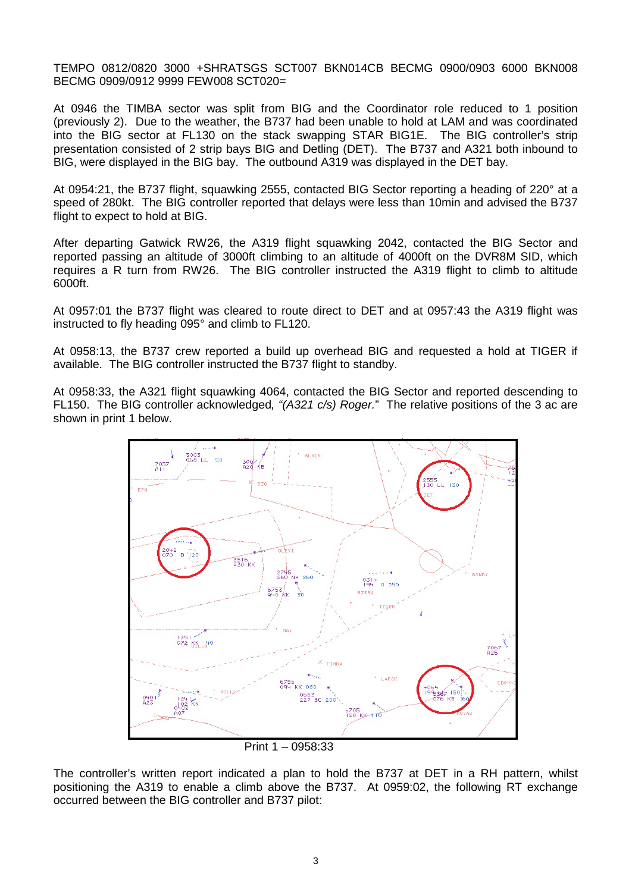TEMPO 0812/0820 3000 +SHRATSGS SCT007 BKN014CB BECMG 0900/0903 6000 BKN008 BECMG 0909/0912 9999 FEW008 SCT020=

At 0946 the TIMBA sector was split from BIG and the Coordinator role reduced to 1 position (previously 2). Due to the weather, the B737 had been unable to hold at LAM and was coordinated into the BIG sector at FL130 on the stack swapping STAR BIG1E. The BIG controller's strip presentation consisted of 2 strip bays BIG and Detling (DET). The B737 and A321 both inbound to BIG, were displayed in the BIG bay. The outbound A319 was displayed in the DET bay.

At 0954:21, the B737 flight, squawking 2555, contacted BIG Sector reporting a heading of 220° at a speed of 280kt. The BIG controller reported that delays were less than 10min and advised the B737 flight to expect to hold at BIG.

After departing Gatwick RW26, the A319 flight squawking 2042, contacted the BIG Sector and reported passing an altitude of 3000ft climbing to an altitude of 4000ft on the DVR8M SID, which requires a R turn from RW26. The BIG controller instructed the A319 flight to climb to altitude 6000ft.

At 0957:01 the B737 flight was cleared to route direct to DET and at 0957:43 the A319 flight was instructed to fly heading 095° and climb to FL120.

At 0958:13, the B737 crew reported a build up overhead BIG and requested a hold at TIGER if available. The BIG controller instructed the B737 flight to standby.

At 0958:33, the A321 flight squawking 4064, contacted the BIG Sector and reported descending to FL150. The BIG controller acknowledged*, "(A321 c/s) Roger.*" The relative positions of the 3 ac are shown in print 1 below.



Print 1 – 0958:33

The controller's written report indicated a plan to hold the B737 at DET in a RH pattern, whilst positioning the A319 to enable a climb above the B737. At 0959:02, the following RT exchange occurred between the BIG controller and B737 pilot: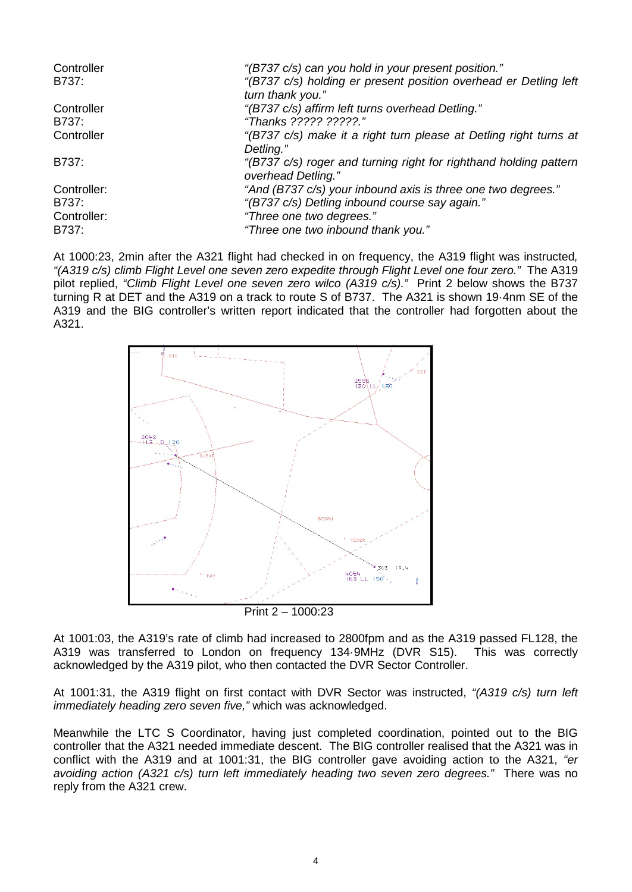| Controller<br>B737: | "(B737 c/s) can you hold in your present position."<br>"(B737 c/s) holding er present position overhead er Detling left<br>turn thank you." |
|---------------------|---------------------------------------------------------------------------------------------------------------------------------------------|
| Controller          | "(B737 c/s) affirm left turns overhead Detling."                                                                                            |
| B737:               | "Thanks ????? ?????."                                                                                                                       |
| Controller          | "(B737 c/s) make it a right turn please at Detling right turns at<br>Detling."                                                              |
| B737:               | "(B737 c/s) roger and turning right for righthand holding pattern<br>overhead Detling."                                                     |
| Controller:         | "And (B737 c/s) your inbound axis is three one two degrees."                                                                                |
| B737:               | "(B737 c/s) Detling inbound course say again."                                                                                              |
| Controller:         | "Three one two degrees."                                                                                                                    |
| B737:               | "Three one two inbound thank you."                                                                                                          |

At 1000:23, 2min after the A321 flight had checked in on frequency, the A319 flight was instructed*, "(A319 c/s) climb Flight Level one seven zero expedite through Flight Level one four zero."* The A319 pilot replied, *"Climb Flight Level one seven zero wilco (A319 c/s)."* Print 2 below shows the B737 turning R at DET and the A319 on a track to route S of B737. The A321 is shown 19·4nm SE of the A319 and the BIG controller's written report indicated that the controller had forgotten about the A321.



At 1001:03, the A319's rate of climb had increased to 2800fpm and as the A319 passed FL128, the A319 was transferred to London on frequency 134·9MHz (DVR S15). This was correctly acknowledged by the A319 pilot, who then contacted the DVR Sector Controller.

At 1001:31, the A319 flight on first contact with DVR Sector was instructed, *"(A319 c/s) turn left immediately heading zero seven five,"* which was acknowledged.

Meanwhile the LTC S Coordinator, having just completed coordination, pointed out to the BIG controller that the A321 needed immediate descent. The BIG controller realised that the A321 was in conflict with the A319 and at 1001:31, the BIG controller gave avoiding action to the A321, *"er avoiding action (A321 c/s) turn left immediately heading two seven zero degrees."* There was no reply from the A321 crew.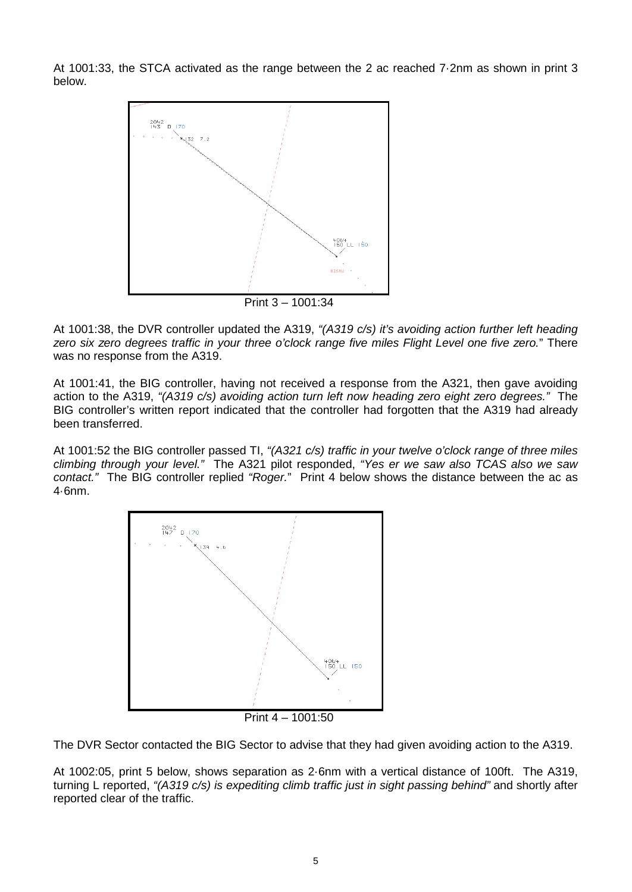At 1001:33, the STCA activated as the range between the 2 ac reached 7·2nm as shown in print 3 below.



At 1001:38, the DVR controller updated the A319, *"(A319 c/s) it's avoiding action further left heading zero six zero degrees traffic in your three o'clock range five miles Flight Level one five zero.*" There was no response from the A319.

At 1001:41, the BIG controller, having not received a response from the A321, then gave avoiding action to the A319, *"(A319 c/s) avoiding action turn left now heading zero eight zero degrees."* The BIG controller's written report indicated that the controller had forgotten that the A319 had already been transferred.

At 1001:52 the BIG controller passed TI, *"(A321 c/s) traffic in your twelve o'clock range of three miles climbing through your level."* The A321 pilot responded, *"Yes er we saw also TCAS also we saw contact."* The BIG controller replied *"Roger.*" Print 4 below shows the distance between the ac as 4·6nm.



Print 4 – 1001:50

The DVR Sector contacted the BIG Sector to advise that they had given avoiding action to the A319.

At 1002:05, print 5 below, shows separation as 2·6nm with a vertical distance of 100ft. The A319, turning L reported, *"(A319 c/s) is expediting climb traffic just in sight passing behind"* and shortly after reported clear of the traffic.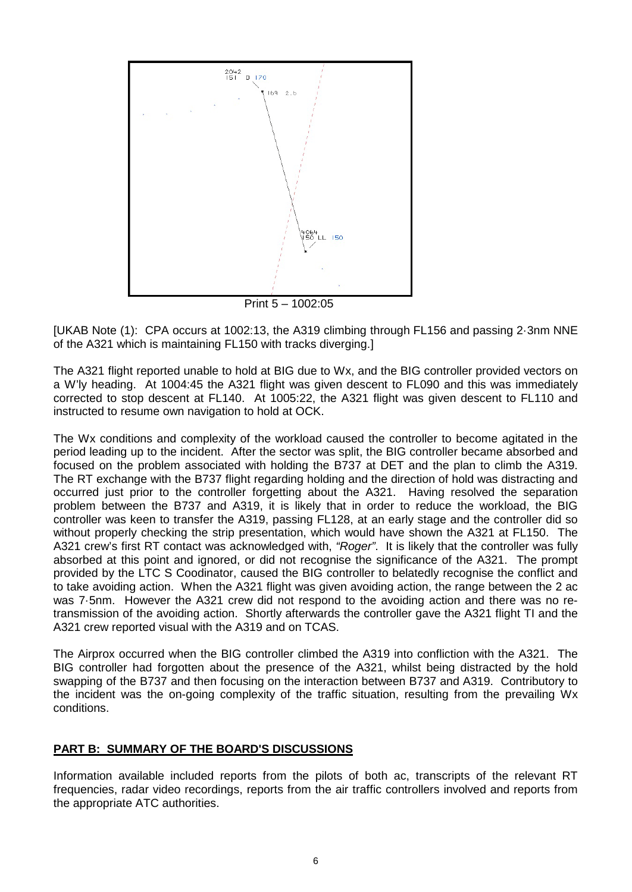

Print 5 – 1002:05

[UKAB Note (1): CPA occurs at 1002:13, the A319 climbing through FL156 and passing 2·3nm NNE of the A321 which is maintaining FL150 with tracks diverging.]

The A321 flight reported unable to hold at BIG due to Wx, and the BIG controller provided vectors on a W'ly heading. At 1004:45 the A321 flight was given descent to FL090 and this was immediately corrected to stop descent at FL140. At 1005:22, the A321 flight was given descent to FL110 and instructed to resume own navigation to hold at OCK.

The Wx conditions and complexity of the workload caused the controller to become agitated in the period leading up to the incident. After the sector was split, the BIG controller became absorbed and focused on the problem associated with holding the B737 at DET and the plan to climb the A319. The RT exchange with the B737 flight regarding holding and the direction of hold was distracting and occurred just prior to the controller forgetting about the A321. Having resolved the separation problem between the B737 and A319, it is likely that in order to reduce the workload, the BIG controller was keen to transfer the A319, passing FL128, at an early stage and the controller did so without properly checking the strip presentation, which would have shown the A321 at FL150. The A321 crew's first RT contact was acknowledged with, *"Roger"*. It is likely that the controller was fully absorbed at this point and ignored, or did not recognise the significance of the A321. The prompt provided by the LTC S Coodinator, caused the BIG controller to belatedly recognise the conflict and to take avoiding action. When the A321 flight was given avoiding action, the range between the 2 ac was 7·5nm. However the A321 crew did not respond to the avoiding action and there was no retransmission of the avoiding action. Shortly afterwards the controller gave the A321 flight TI and the A321 crew reported visual with the A319 and on TCAS.

The Airprox occurred when the BIG controller climbed the A319 into confliction with the A321. The BIG controller had forgotten about the presence of the A321, whilst being distracted by the hold swapping of the B737 and then focusing on the interaction between B737 and A319. Contributory to the incident was the on-going complexity of the traffic situation, resulting from the prevailing Wx conditions.

## **PART B: SUMMARY OF THE BOARD'S DISCUSSIONS**

Information available included reports from the pilots of both ac, transcripts of the relevant RT frequencies, radar video recordings, reports from the air traffic controllers involved and reports from the appropriate ATC authorities.